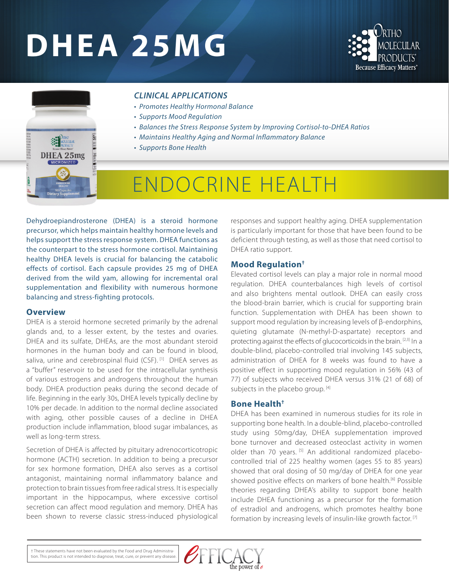# **DHEA 25MG**





### *CLINICAL APPLICATIONS*

- *Promotes Healthy Hormonal Balance*
- *Supports Mood Regulation*
- *Balances the Stress Response System by Improving Cortisol-to-DHEA Ratios*
- *Maintains Healthy Aging and Normal Inflammatory Balance*
- *Supports Bone Health*

## ENDOCRINE HEALTH

Dehydroepiandrosterone (DHEA) is a steroid hormone precursor, which helps maintain healthy hormone levels and helps support the stress response system. DHEA functions as the counterpart to the stress hormone cortisol. Maintaining healthy DHEA levels is crucial for balancing the catabolic effects of cortisol. Each capsule provides 25 mg of DHEA derived from the wild yam, allowing for incremental oral supplementation and flexibility with numerous hormone balancing and stress-fighting protocols.

#### **Overview**

DHEA is a steroid hormone secreted primarily by the adrenal glands and, to a lesser extent, by the testes and ovaries. DHEA and its sulfate, DHEAs, are the most abundant steroid hormones in the human body and can be found in blood, saliva, urine and cerebrospinal fluid (CSF).<sup>[1]</sup> DHEA serves as a "buffer" reservoir to be used for the intracellular synthesis of various estrogens and androgens throughout the human body. DHEA production peaks during the second decade of life. Beginning in the early 30s, DHEA levels typically decline by 10% per decade. In addition to the normal decline associated with aging, other possible causes of a decline in DHEA production include inflammation, blood sugar imbalances, as well as long-term stress.

Secretion of DHEA is affected by pituitary adrenocorticotropic hormone (ACTH) secretion. In addition to being a precursor for sex hormone formation, DHEA also serves as a cortisol antagonist, maintaining normal inflammatory balance and protection to brain tissues from free radical stress. It is especially important in the hippocampus, where excessive cortisol secretion can affect mood regulation and memory. DHEA has been shown to reverse classic stress-induced physiological responses and support healthy aging. DHEA supplementation is particularly important for those that have been found to be deficient through testing, as well as those that need cortisol to DHEA ratio support.

#### **Mood Regulation†**

Elevated cortisol levels can play a major role in normal mood regulation. DHEA counterbalances high levels of cortisol and also brightens mental outlook. DHEA can easily cross the blood-brain barrier, which is crucial for supporting brain function. Supplementation with DHEA has been shown to support mood regulation by increasing levels of β-endorphins, quieting glutamate (N-methyl-D-aspartate) receptors and protecting against the effects of glucocorticoids in the brain. [2,3] In a double-blind, placebo-controlled trial involving 145 subjects, administration of DHEA for 8 weeks was found to have a positive effect in supporting mood regulation in 56% (43 of 77) of subjects who received DHEA versus 31% (21 of 68) of subjects in the placebo group.<sup>[4]</sup>

#### **Bone Health†**

DHEA has been examined in numerous studies for its role in supporting bone health. In a double-blind, placebo-controlled study using 50mg/day, DHEA supplementation improved bone turnover and decreased osteoclast activity in women older than 70 years. [5] An additional randomized placebocontrolled trial of 225 healthy women (ages 55 to 85 years) showed that oral dosing of 50 mg/day of DHEA for one year showed positive effects on markers of bone health.<sup>[6]</sup> Possible theories regarding DHEA's ability to support bone health include DHEA functioning as a precursor for the formation of estradiol and androgens, which promotes healthy bone formation by increasing levels of insulin-like growth factor. [7]